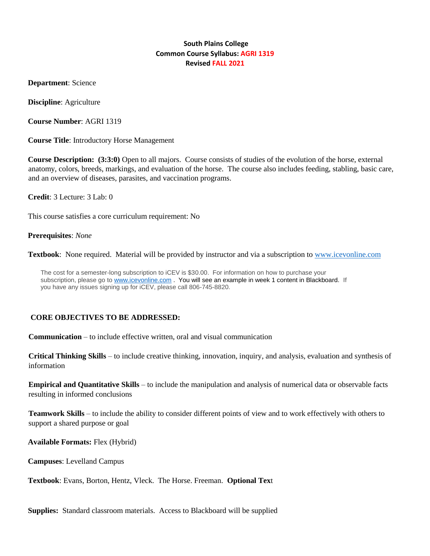### **South Plains College Common Course Syllabus: AGRI 1319 Revised FALL 2021**

**Department**: Science

**Discipline**: Agriculture

**Course Number**: AGRI 1319

**Course Title**: Introductory Horse Management

**Course Description: (3:3:0)** Open to all majors. Course consists of studies of the evolution of the horse, external anatomy, colors, breeds, markings, and evaluation of the horse. The course also includes feeding, stabling, basic care, and an overview of diseases, parasites, and vaccination programs.

**Credit**: 3 Lecture: 3 Lab: 0

This course satisfies a core curriculum requirement: No

#### **Prerequisites**: *None*

**Textbook**: None required. Material will be provided by instructor and via a subscription to [www.icevonline.com](http://www.icevonline.com/) 

The cost for a semester-long subscription to iCEV is \$30.00. For information on how to purchase your<br>subscription, please go to <u>www.lcevonline.com</u>. You will see an example in week 1 content in Blackboard will be supplied subscription, please go to www.icevonline.com . You will see an example in week 1 content in Blackboard. If you have any issues signing up for iCEV, please call 806-745-8820.

#### **CORE OBJECTIVES TO BE ADDRESSED:**

**Communication** – to include effective written, oral and visual communication

**Critical Thinking Skills** – to include creative thinking, innovation, inquiry, and analysis, evaluation and synthesis of information

**Empirical and Quantitative Skills** – to include the manipulation and analysis of numerical data or observable facts resulting in informed conclusions

**Teamwork Skills** – to include the ability to consider different points of view and to work effectively with others to support a shared purpose or goal

**Available Formats:** Flex (Hybrid)

**Campuses**: Levelland Campus

**Textbook**: Evans, Borton, Hentz, Vleck. The Horse. Freeman. **Optional Tex**t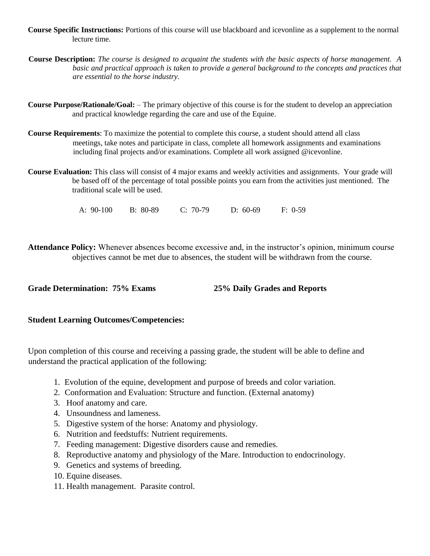- **Course Specific Instructions:** Portions of this course will use blackboard and icevonline as a supplement to the normal lecture time.
- **Course Description:** *The course is designed to acquaint the students with the basic aspects of horse management. A basic and practical approach is taken to provide a general background to the concepts and practices that are essential to the horse industry.*
- **Course Purpose/Rationale/Goal:** The primary objective of this course is for the student to develop an appreciation and practical knowledge regarding the care and use of the Equine.
- **Course Requirements**: To maximize the potential to complete this course, a student should attend all class meetings, take notes and participate in class, complete all homework assignments and examinations including final projects and/or examinations. Complete all work assigned @icevonline.
- **Course Evaluation:** This class will consist of 4 major exams and weekly activities and assignments. Your grade will be based off of the percentage of total possible points you earn from the activities just mentioned. The traditional scale will be used.

A: 90-100 B: 80-89 C: 70-79 D: 60-69 F: 0-59

**Attendance Policy:** Whenever absences become excessive and, in the instructor's opinion, minimum course objectives cannot be met due to absences, the student will be withdrawn from the course.

**Grade Determination: 75% Exams 25% Daily Grades and Reports** 

### **Student Learning Outcomes/Competencies:**

Upon completion of this course and receiving a passing grade, the student will be able to define and understand the practical application of the following:

- 1. Evolution of the equine, development and purpose of breeds and color variation.
- 2. Conformation and Evaluation: Structure and function. (External anatomy)
- 3. Hoof anatomy and care.
- 4. Unsoundness and lameness.
- 5. Digestive system of the horse: Anatomy and physiology.
- 6. Nutrition and feedstuffs: Nutrient requirements.
- 7. Feeding management: Digestive disorders cause and remedies.
- 8. Reproductive anatomy and physiology of the Mare. Introduction to endocrinology.
- 9. Genetics and systems of breeding.
- 10. Equine diseases.
- 11. Health management. Parasite control.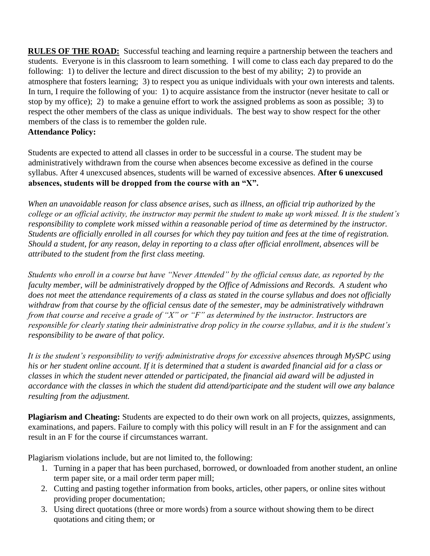**RULES OF THE ROAD:** Successful teaching and learning require a partnership between the teachers and students. Everyone is in this classroom to learn something. I will come to class each day prepared to do the following: 1) to deliver the lecture and direct discussion to the best of my ability; 2) to provide an atmosphere that fosters learning; 3) to respect you as unique individuals with your own interests and talents. In turn, I require the following of you: 1) to acquire assistance from the instructor (never hesitate to call or stop by my office); 2) to make a genuine effort to work the assigned problems as soon as possible; 3) to respect the other members of the class as unique individuals. The best way to show respect for the other members of the class is to remember the golden rule.

# **Attendance Policy:**

Students are expected to attend all classes in order to be successful in a course. The student may be administratively withdrawn from the course when absences become excessive as defined in the course syllabus. After 4 unexcused absences, students will be warned of excessive absences. **After 6 unexcused absences, students will be dropped from the course with an "X".**

*When an unavoidable reason for class absence arises, such as illness, an official trip authorized by the college or an official activity, the instructor may permit the student to make up work missed. It is the student's responsibility to complete work missed within a reasonable period of time as determined by the instructor. Students are officially enrolled in all courses for which they pay tuition and fees at the time of registration. Should a student, for any reason, delay in reporting to a class after official enrollment, absences will be attributed to the student from the first class meeting.*

*Students who enroll in a course but have "Never Attended" by the official census date, as reported by the faculty member, will be administratively dropped by the Office of Admissions and Records. A student who does not meet the attendance requirements of a class as stated in the course syllabus and does not officially withdraw from that course by the official census date of the semester, may be administratively withdrawn from that course and receive a grade of "X" or "F" as determined by the instructor. Instructors are responsible for clearly stating their administrative drop policy in the course syllabus, and it is the student's responsibility to be aware of that policy.* 

*It is the student's responsibility to verify administrative drops for excessive absences through MySPC using his or her student online account. If it is determined that a student is awarded financial aid for a class or classes in which the student never attended or participated, the financial aid award will be adjusted in accordance with the classes in which the student did attend/participate and the student will owe any balance resulting from the adjustment.*

**Plagiarism and Cheating:** Students are expected to do their own work on all projects, quizzes, assignments, examinations, and papers. Failure to comply with this policy will result in an F for the assignment and can result in an F for the course if circumstances warrant.

Plagiarism violations include, but are not limited to, the following:

- 1. Turning in a paper that has been purchased, borrowed, or downloaded from another student, an online term paper site, or a mail order term paper mill;
- 2. Cutting and pasting together information from books, articles, other papers, or online sites without providing proper documentation;
- 3. Using direct quotations (three or more words) from a source without showing them to be direct quotations and citing them; or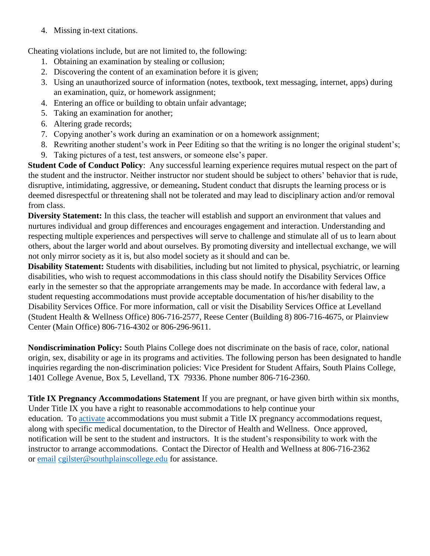4. Missing in-text citations.

Cheating violations include, but are not limited to, the following:

- 1. Obtaining an examination by stealing or collusion;
- 2. Discovering the content of an examination before it is given;
- 3. Using an unauthorized source of information (notes, textbook, text messaging, internet, apps) during an examination, quiz, or homework assignment;
- 4. Entering an office or building to obtain unfair advantage;
- 5. Taking an examination for another;
- 6. Altering grade records;
- 7. Copying another's work during an examination or on a homework assignment;
- 8. Rewriting another student's work in Peer Editing so that the writing is no longer the original student's;
- 9. Taking pictures of a test, test answers, or someone else's paper.

**Student Code of Conduct Policy**: Any successful learning experience requires mutual respect on the part of the student and the instructor. Neither instructor nor student should be subject to others' behavior that is rude, disruptive, intimidating, aggressive, or demeaning**.** Student conduct that disrupts the learning process or is deemed disrespectful or threatening shall not be tolerated and may lead to disciplinary action and/or removal from class.

**Diversity Statement:** In this class, the teacher will establish and support an environment that values and nurtures individual and group differences and encourages engagement and interaction. Understanding and respecting multiple experiences and perspectives will serve to challenge and stimulate all of us to learn about others, about the larger world and about ourselves. By promoting diversity and intellectual exchange, we will not only mirror society as it is, but also model society as it should and can be.

**Disability Statement:** Students with disabilities, including but not limited to physical, psychiatric, or learning disabilities, who wish to request accommodations in this class should notify the Disability Services Office early in the semester so that the appropriate arrangements may be made. In accordance with federal law, a student requesting accommodations must provide acceptable documentation of his/her disability to the Disability Services Office. For more information, call or visit the Disability Services Office at Levelland (Student Health & Wellness Office) 806-716-2577, Reese Center (Building 8) 806-716-4675, or Plainview Center (Main Office) 806-716-4302 or 806-296-9611.

**Nondiscrimination Policy:** South Plains College does not discriminate on the basis of race, color, national origin, sex, disability or age in its programs and activities. The following person has been designated to handle inquiries regarding the non-discrimination policies: Vice President for Student Affairs, South Plains College, 1401 College Avenue, Box 5, Levelland, TX 79336. Phone number 806-716-2360.

**Title IX Pregnancy Accommodations Statement** If you are pregnant, or have given birth within six months, Under Title IX you have a right to reasonable accommodations to help continue your education. To [activate](http://www.southplainscollege.edu/employees/manualshandbooks/facultyhandbook/sec4.php) accommodations you must submit a Title IX pregnancy accommodations request, along with specific medical documentation, to the Director of Health and Wellness. Once approved, notification will be sent to the student and instructors. It is the student's responsibility to work with the instructor to arrange accommodations. Contact the Director of Health and Wellness at 806-716-2362 or [email](http://www.southplainscollege.edu/employees/manualshandbooks/facultyhandbook/sec4.php) [cgilster@southplainscollege.edu](mailto:cgilster@southplainscollege.edu) for assistance.